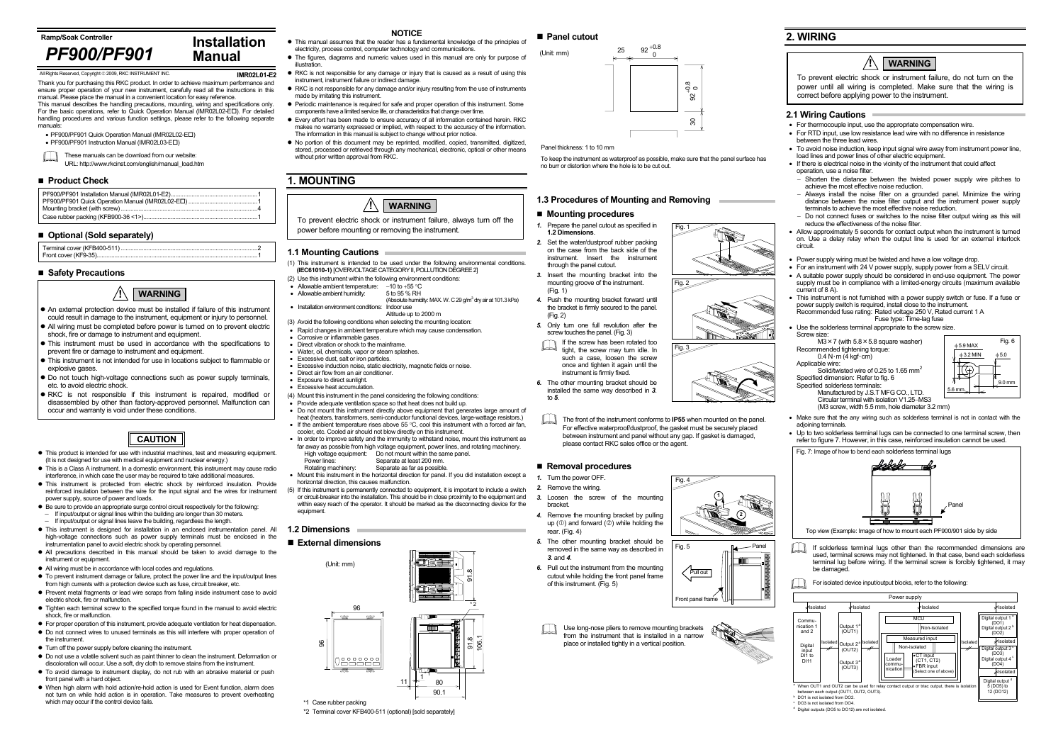**Ramp/Soak Controller**

**IMR02L01-E2**Thank you for purchasing this RKC product. In order to achieve maximum performance and ensure proper operation of your new instrument, carefully read all the instructions in this manual. Please place the manual in a convenient location for easy reference.

 $\Box$ These manuals can be download from our website: URL: http://www.rkcinst.com/english/manual\_load.htm

#### ■ Product Check

This manual describes the handling precautions, mounting, wiring and specifications only. For the basic operations, refer to Quick Operation Manual (IMR02L02-E ). For detailed handling procedures and various function settings, please refer to the following separate manuals:

- PF900/PF901 Quick Operation Manual (IMR02L02-E□)
- PF900/PF901 Instruction Manual (IMR02L03-E□)

#### **Safety Precautions**

- This product is intended for use with industrial machines, test and measuring equipment. (It is not designed for use with medical equipment and nuclear energy.)
- $\bullet$  This is a Class A instrument. In a domestic environment, this instrument may cause radio interference, in which case the user may be required to take additional measures.
- This instrument is protected from electric shock by reinforced insulation. Provide reinforced insulation between the wire for the input signal and the wires for instrument power supply, source of power and loads.
- $\bullet$  Be sure to provide an appropriate surge control circuit respectively for the following: If input/output or signal lines within the building are longer than 30 meters.
	- <sup>−</sup>If input/output or signal lines leave the building, regardless the length.
- This instrument is designed for installation in an enclosed instrumentation panel. All high-voltage connections such as power supply terminals must be enclosed in the instrumentation panel to avoid electric shock by operating personnel.
- All precautions described in this manual should be taken to avoid damage to the instrument or equipment.
- All wiring must be in accordance with local codes and regulations.
- To prevent instrument damage or failure, protect the power line and the input/output lines from high currents with a protection device such as fuse, circuit breaker, etc.
- Prevent metal fragments or lead wire scraps from falling inside instrument case to avoid electric shock, fire or malfunction.
- Tighten each terminal screw to the specified torque found in the manual to avoid electric shock, fire or malfunction.
- For proper operation of this instrument, provide adequate ventilation for heat dispensation.  $\bullet$  Do not connect wires to unused terminals as this will interfere with proper operation of
- the instrument.  $\bullet$  Turn off the power supply before cleaning the instrument.
- $\bullet$  Do not use a volatile solvent such as paint thinner to clean the instrument. Deformation or
- discoloration will occur. Use a soft, dry cloth to remove stains from the instrument.  $\bullet$  To avoid damage to instrument display, do not rub with an abrasive material or push
- front panel with a hard object. • When high alarm with hold action/re-hold action is used for Event function, alarm does not turn on while hold action is in operation. Take measures to prevent overheating which may occur if the control device fails.
- *1.* Prepare the panel cutout as specified in **1.2 Dimensions**.
- *2.* Set the water/dustproof rubber packing on the case from the back side of the instrument. Insert the instrument through the panel cutout.
- *3.* Insert the mounting bracket into the mounting groove of the instrument.  $(Fin 1)$
- *4.* Push the mounting bracket forward until the bracket is firmly secured to the panel. (Fig. 2)
- *5.* Only turn one full revolution after the screw touches the panel. (Fig. 3)
- **NOTICE**
- $\bullet$  This manual assumes that the reader has a fundamental knowledge of the principles of electricity, process control, computer technology and communications.
- The figures, diagrams and numeric values used in this manual are only for purpose of illustration.
- RKC is not responsible for any damage or injury that is caused as a result of using this instrument, instrument failure or indirect damage.
- RKC is not responsible for any damage and/or injury resulting from the use of instruments made by imitating this instrument.
- Periodic maintenance is required for safe and proper operation of this instrument. Some components have a limited service life, or characteristics that change over time.
- Every effort has been made to ensure accuracy of all information contained herein. RKC makes no warranty expressed or implied, with respect to the accuracy of the information. The information in this manual is subject to change without prior notice.
- $\bullet$  No portion of this document may be reprinted, modified, copied, transmitted, digitized, stored, processed or retrieved through any mechanical, electronic, optical or other means without prior written approval from RKC.

Use long-nose pliers to remove mounting brackets from the instrument that is installed in a narrow place or installed tightly in a vertical position.



## **1. MOUNTING**

#### **1.1 Mounting Cautions**

If solderless terminal lugs other than the recommended dimensions are used, terminal screws may not tightened. In that case, bend each solderless terminal lug before wiring. If the terminal screw is forcibly tightened, it may be damaged.

For isolated device input/output blocks, refer to the following:

- (1) This instrument is intended to be used under the following environmental conditions. **(IEC61010-1)** [OVERVOLTAGE CATEGORY II, POLLUTION DEGREE 2]
- (2) Use this instrument within the following environment conditions:
- Allowable ambient temperature: −10 to +55 °C
- $\bullet$  Allowable ambient humidity:
- (Absolute humidity: MAX. W. C 29  $q/m^3$  dry air at 101.3 kPa) • Installation environment conditions: Indoor use Altitude up to 2000 m
- (3) Avoid the following conditions when selecting the mounting location:
- Rapid changes in ambient temperature which may cause condensation.
- 
- Corrosive or inflammable gases. Direct vibration or shock to the mainframe.
- Water, oil, chemicals, vapor or steam splashes.
- Excessive dust, salt or iron particles.
- Excessive induction noise, static electricity, magnetic fields or noise. • Direct air flow from an air conditioner.
- Exposure to direct sunlight.
- Excessive heat accumulation
- (4) Mount this instrument in the panel considering the following conditions:
- Provide adequate ventilation space so that heat does not build up. • Do not mount this instrument directly above equipment that generates large amount of
- heat (heaters, transformers, semi-conductor functional devices, large-wattage resistors.) • If the ambient temperature rises above 55  $^{\circ}$ C, cool this instrument with a forced air fan
- cooler, etc. Cooled air should not blow directly on this instrument. • In order to improve safety and the immunity to withstand noise, mount this instrument as far away as possible from high voltage equipment, power lines, and rotating machinery.
- High voltage equipment: Do not mount within the same panel. Power lines:<br>
Rotating machinery<br>
Separate as far as possible<br>
Separate as far as possible
	- Separate as far as possible
- Mount this instrument in the horizontal direction for panel. If you did installation except a horizontal direction, this causes malfunction.
- (5) If this instrument is permanently connected to equipment, it is important to include a switch or circuit-breaker into the installation. This should be in close proximity to the equipment and within easy reach of the operator. It should be marked as the disconnecting device for the equipment.
- An external protection device must be installed if failure of this instrument could result in damage to the instrument, equipment or injury to personnel.
- All wiring must be completed before power is turned on to prevent electric shock, fire or damage to instrument and equipment.
- This instrument must be used in accordance with the specifications to prevent fire or damage to instrument and equipment.
- If This instrument is not intended for use in locations subject to flammable or explosive gases.
- Do not touch high-voltage connections such as power supply terminals, etc. to avoid electric shock.
- **RKC** is not responsible if this instrument is repaired, modified or disassembled by other than factory-approved personnel. Malfunction can occur and warranty is void under these conditions.

#### **1.2 Dimensions**

#### **External dimensions**



#### **1.3 Procedures of Mounting and Removing**

#### ■ Mounting procedures

The front of the instrument conforms to **IP55** when mounted on the panel. For effective waterproof/dustproof, the gasket must be securely placed between instrument and panel without any gap. If gasket is damaged, please contact RKC sales office or the agent.

If the screw has been rotated too tight, the screw may turn idle. In such a case, loosen the screw once and tighten it again until the instrument is firmly fixed.

*6.* The other mounting bracket should be installed the same way described in *3.*  to *5*.

#### **Removal procedures**

- *1.* Turn the power OFF.
- *2.* Remove the wiring.
- *3.* Loosen the screw of the mounting bracket.
- *4.* Remove the mounting bracket by pulling up  $(\mathbb{O})$  and forward  $(\mathbb{O})$  while holding the rear. (Fig. 4)
- *5.* The other mounting bracket should be removed in the same way as described in *3.* and *4*.
- *6.* Pull out the instrument from the mounting cutout while holding the front panel frame of this instrument. (Fig. 5)

### **2. WIRING**

#### **2.1 Wiring Cautions**

• For thermocouple input, use the appropriate compensation wire.

• For RTD input, use low resistance lead wire with no difference in resistance between the three lead wires.

• To avoid noise induction, keep input signal wire away from instrument power line, load lines and power lines of other electric equipment.

• If there is electrical noise in the vicinity of the instrument that could affect operation, use a noise filter.

<sup>−</sup>Shorten the distance between the twisted power supply wire pitches to achieve the most effective noise reduction.

<sup>−</sup>Always install the noise filter on a grounded panel. Minimize the wiring distance between the noise filter output and the instrument power supply terminals to achieve the most effective noise reduction.

<sup>−</sup>Do not connect fuses or switches to the noise filter output wiring as this will reduce the effectiveness of the noise filter.

• Allow approximately 5 seconds for contact output when the instrument is turned on. Use a delay relay when the output line is used for an external interlock circuit.

• Power supply wiring must be twisted and have a low voltage drop.

• For an instrument with 24 V power supply, supply power from a SELV circuit.

• A suitable power supply should be considered in end-use equipment. The power supply must be in compliance with a limited-energy circuits (maximum available current of 8 A).

• This instrument is not furnished with a power supply switch or fuse. If a fuse or power supply switch is required, install close to the instrument.

Recommended fuse rating: Rated voltage 250 V, Rated current 1 A

Fuse type: Time-lag fuse

Use the solderless terminal appropriate to the screw size.

Screw size:

 $M3 \times 7$  (with  $5.8 \times 5.8$  square washer)<br>Recommended tightening torque:

 $0.4 N·m (4 kgf·cm)$ 

Applicable wire:

Solid/twisted wire of 0.25 to 1.65 mm<sup>2</sup>

Specified dimension: Refer to fig. 6

Specified solderless terminals:

Manufactured by J.S.T MFG CO., LTD.

Circular terminal with isolation V1.25−MS3

(M3 screw, width 5.5 mm, hole diameter 3.2 mm)

• Make sure that the any wiring such as solderless terminal is not in contact with the adioining terminals.

• Up to two solderless terminal lugs can be connected to one terminal screw, then refer to figure 7. However, in this case, reinforced insulation cannot be used.



 $\degree$  DO3 is not isolated from DO4.<br> $\degree$  Digital outputs (DO5 to DO12) are not isolated.

# *PF900/PF901*

#### ■ Optional (Sold separately)

Terminal cover (KFB400-511) Front cover (KF9-35)...

**Installation** 

**Manual**

All Rights Reserved, Copyright 2009, RKC INSTRUMENT INC.

#### **!WARNING**

## **CAUTION**

To prevent electric shock or instrument failure, always turn off the power before mounting or removing the instrument.



To prevent electric shock or instrument failure, do not turn on the power until all wiring is completed. Make sure that the wiring is correct before applying power to the instrument.





Fig. 5 Pull out Front panel frame Panel

\*2 Terminal cover KFB400-511 (optional) [sold separately]



Fig. 2

Fig. 3

Fig. 1

**1**

**2**

Fig. 4

To keep the instrument as waterproof as possible, make sure that the panel surface has no burr or distortion where the hole is to be cut out.

Panel thickness: 1 to 10 mm

(Unit: mm)

 $25 \begin{array}{c} 92 + 0.8 \\ 0 \end{array}$  $30 \begin{array}{|c|} \hline 32^{+0.8} \ \hline \end{array}$  $\approx$ 



Top view (Example: Image of how to mount each PF900/901 side by side